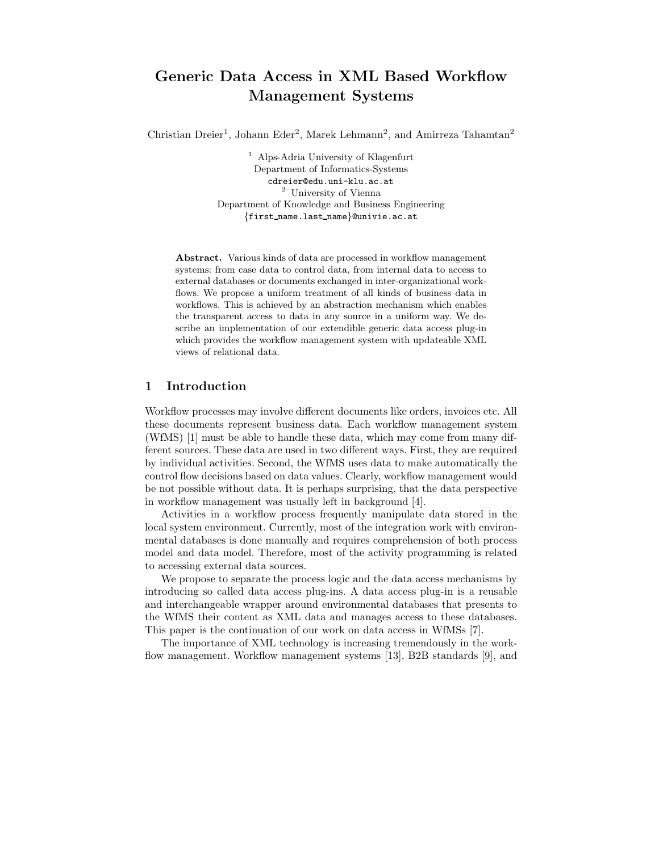# Generic Data Access in XML Based Workflow Management Systems

Christian Dreier<sup>1</sup>, Johann Eder<sup>2</sup>, Marek Lehmann<sup>2</sup>, and Amirreza Tahamtan<sup>2</sup>

<sup>1</sup> Alps-Adria University of Klagenfurt Department of Informatics-Systems cdreier@edu.uni-klu.ac.at <sup>2</sup> University of Vienna Department of Knowledge and Business Engineering {first name.last name}@univie.ac.at

Abstract. Various kinds of data are processed in workflow management systems: from case data to control data, from internal data to access to external databases or documents exchanged in inter-organizational workflows. We propose a uniform treatment of all kinds of business data in workflows. This is achieved by an abstraction mechanism which enables the transparent access to data in any source in a uniform way. We describe an implementation of our extendible generic data access plug-in which provides the workflow management system with updateable XML views of relational data.

#### 1 Introduction

Workflow processes may involve different documents like orders, invoices etc. All these documents represent business data. Each workflow management system (WfMS) [1] must be able to handle these data, which may come from many different sources. These data are used in two different ways. First, they are required by individual activities. Second, the WfMS uses data to make automatically the control flow decisions based on data values. Clearly, workflow management would be not possible without data. It is perhaps surprising, that the data perspective in workflow management was usually left in background [4].

Activities in a workflow process frequently manipulate data stored in the local system environment. Currently, most of the integration work with environmental databases is done manually and requires comprehension of both process model and data model. Therefore, most of the activity programming is related to accessing external data sources.

We propose to separate the process logic and the data access mechanisms by introducing so called data access plug-ins. A data access plug-in is a reusable and interchangeable wrapper around environmental databases that presents to the WfMS their content as XML data and manages access to these databases. This paper is the continuation of our work on data access in WfMSs [7].

The importance of XML technology is increasing tremendously in the workflow management. Workflow management systems [13], B2B standards [9], and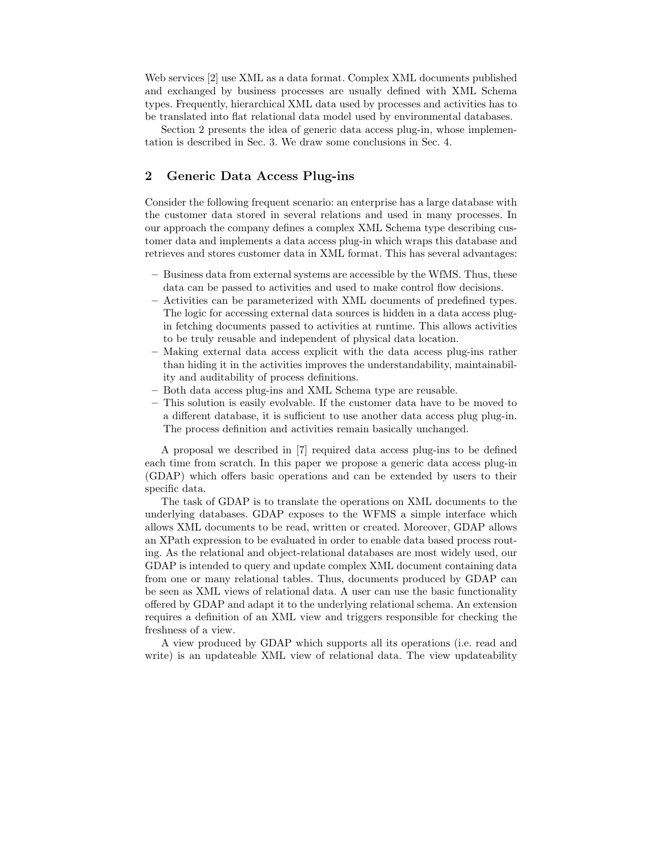Web services [2] use XML as a data format. Complex XML documents published and exchanged by business processes are usually defined with XML Schema types. Frequently, hierarchical XML data used by processes and activities has to be translated into flat relational data model used by environmental databases.

Section 2 presents the idea of generic data access plug-in, whose implementation is described in Sec. 3. We draw some conclusions in Sec. 4.

## 2 Generic Data Access Plug-ins

Consider the following frequent scenario: an enterprise has a large database with the customer data stored in several relations and used in many processes. In our approach the company defines a complex XML Schema type describing customer data and implements a data access plug-in which wraps this database and retrieves and stores customer data in XML format. This has several advantages:

- Business data from external systems are accessible by the WfMS. Thus, these data can be passed to activities and used to make control flow decisions.
- Activities can be parameterized with XML documents of predefined types. The logic for accessing external data sources is hidden in a data access plugin fetching documents passed to activities at runtime. This allows activities to be truly reusable and independent of physical data location.
- Making external data access explicit with the data access plug-ins rather than hiding it in the activities improves the understandability, maintainability and auditability of process definitions.
- Both data access plug-ins and XML Schema type are reusable.
- This solution is easily evolvable. If the customer data have to be moved to a different database, it is sufficient to use another data access plug plug-in. The process definition and activities remain basically unchanged.

A proposal we described in [7] required data access plug-ins to be defined each time from scratch. In this paper we propose a generic data access plug-in (GDAP) which offers basic operations and can be extended by users to their specific data.

The task of GDAP is to translate the operations on XML documents to the underlying databases. GDAP exposes to the WFMS a simple interface which allows XML documents to be read, written or created. Moreover, GDAP allows an XPath expression to be evaluated in order to enable data based process routing. As the relational and object-relational databases are most widely used, our GDAP is intended to query and update complex XML document containing data from one or many relational tables. Thus, documents produced by GDAP can be seen as XML views of relational data. A user can use the basic functionality offered by GDAP and adapt it to the underlying relational schema. An extension requires a definition of an XML view and triggers responsible for checking the freshness of a view.

A view produced by GDAP which supports all its operations (i.e. read and write) is an updateable XML view of relational data. The view updateability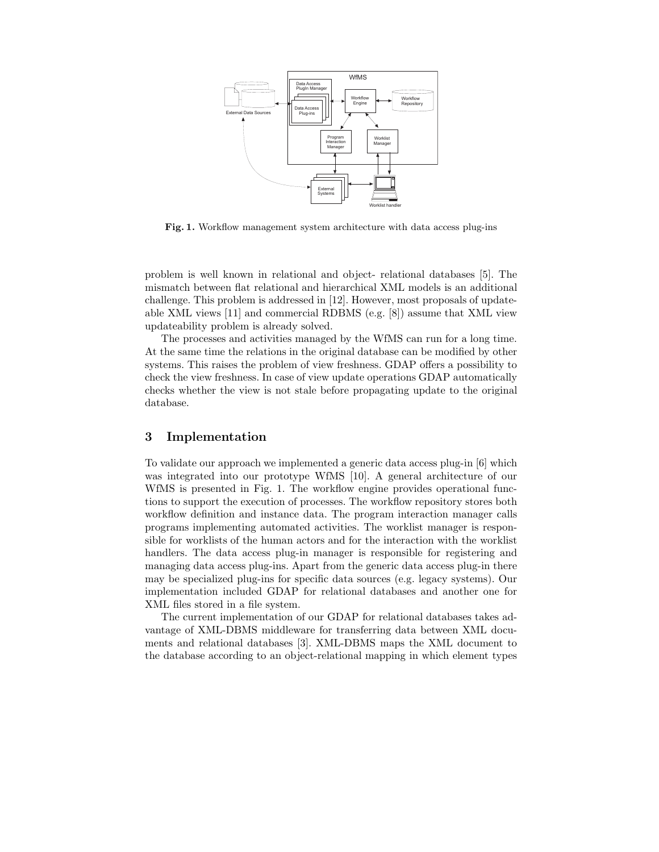

Fig. 1. Workflow management system architecture with data access plug-ins

problem is well known in relational and object- relational databases [5]. The mismatch between flat relational and hierarchical XML models is an additional challenge. This problem is addressed in [12]. However, most proposals of updateable XML views [11] and commercial RDBMS (e.g. [8]) assume that XML view updateability problem is already solved.

The processes and activities managed by the WfMS can run for a long time. At the same time the relations in the original database can be modified by other systems. This raises the problem of view freshness. GDAP offers a possibility to check the view freshness. In case of view update operations GDAP automatically checks whether the view is not stale before propagating update to the original database.

### 3 Implementation

To validate our approach we implemented a generic data access plug-in [6] which was integrated into our prototype WfMS [10]. A general architecture of our WfMS is presented in Fig. 1. The workflow engine provides operational functions to support the execution of processes. The workflow repository stores both workflow definition and instance data. The program interaction manager calls programs implementing automated activities. The worklist manager is responsible for worklists of the human actors and for the interaction with the worklist handlers. The data access plug-in manager is responsible for registering and managing data access plug-ins. Apart from the generic data access plug-in there may be specialized plug-ins for specific data sources (e.g. legacy systems). Our implementation included GDAP for relational databases and another one for XML files stored in a file system.

The current implementation of our GDAP for relational databases takes advantage of XML-DBMS middleware for transferring data between XML documents and relational databases [3]. XML-DBMS maps the XML document to the database according to an object-relational mapping in which element types